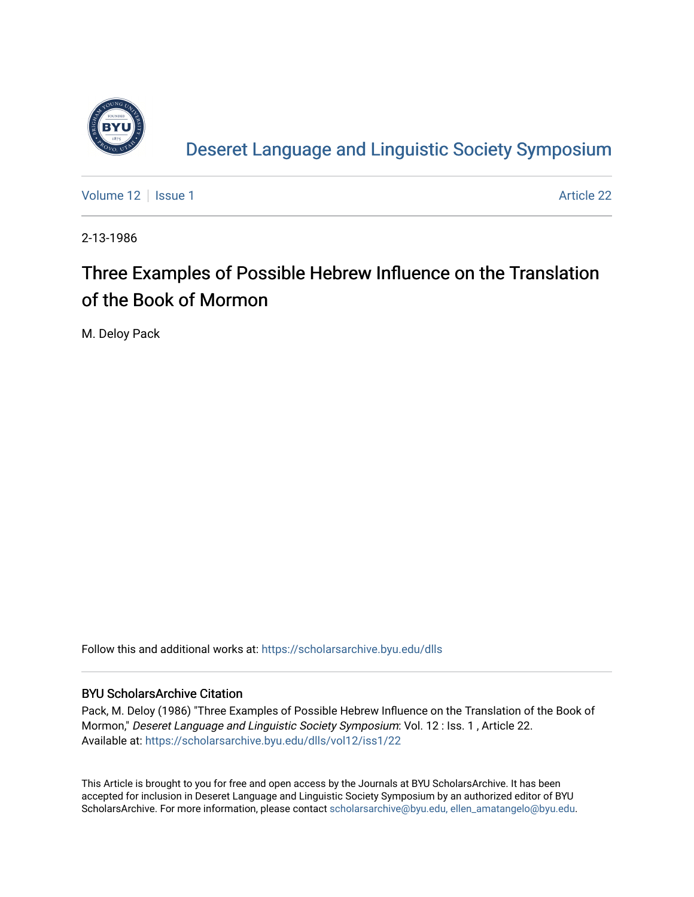

[Deseret Language and Linguistic Society Symposium](https://scholarsarchive.byu.edu/dlls) 

[Volume 12](https://scholarsarchive.byu.edu/dlls/vol12) | [Issue 1](https://scholarsarchive.byu.edu/dlls/vol12/iss1) Article 22

2-13-1986

# Three Examples of Possible Hebrew Influence on the Translation of the Book of Mormon

M. Deloy Pack

Follow this and additional works at: [https://scholarsarchive.byu.edu/dlls](https://scholarsarchive.byu.edu/dlls?utm_source=scholarsarchive.byu.edu%2Fdlls%2Fvol12%2Fiss1%2F22&utm_medium=PDF&utm_campaign=PDFCoverPages) 

## BYU ScholarsArchive Citation

Pack, M. Deloy (1986) "Three Examples of Possible Hebrew Influence on the Translation of the Book of Mormon," Deseret Language and Linguistic Society Symposium: Vol. 12 : Iss. 1 , Article 22. Available at: [https://scholarsarchive.byu.edu/dlls/vol12/iss1/22](https://scholarsarchive.byu.edu/dlls/vol12/iss1/22?utm_source=scholarsarchive.byu.edu%2Fdlls%2Fvol12%2Fiss1%2F22&utm_medium=PDF&utm_campaign=PDFCoverPages) 

This Article is brought to you for free and open access by the Journals at BYU ScholarsArchive. It has been accepted for inclusion in Deseret Language and Linguistic Society Symposium by an authorized editor of BYU ScholarsArchive. For more information, please contact [scholarsarchive@byu.edu, ellen\\_amatangelo@byu.edu.](mailto:scholarsarchive@byu.edu,%20ellen_amatangelo@byu.edu)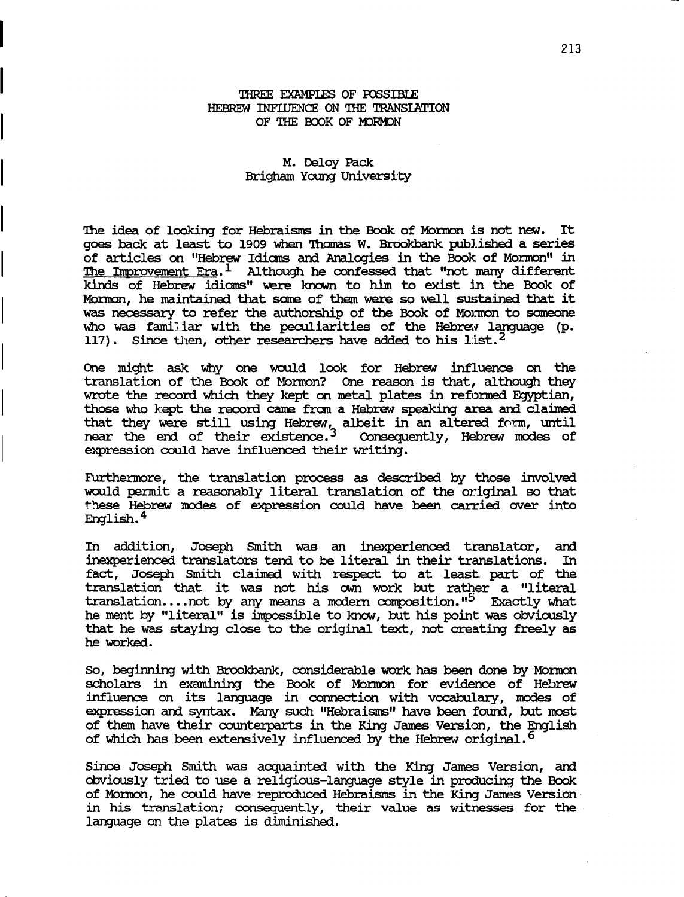### 'IHREE EXAMPIES OF rossIBIE HEBREW INFILIENCE ON THE TRANSLATION OF THE BOOK OF MORMON

### M. Deloy Pack Brigham Young university

The idea of looking for Hebraisms in the Book of Mormon is not new. It goes back at least to 1909 when 'lhamas w. Brookbank published a series of articles on "Hebrew Idioms and Analogies in the Book of Mormon" in The Improvement  $Era.1$  Although he confessed that "not many different kinds of Hebrew idioms" were known to him to exist in the Book of Mormon, he maintained that some of them were so well sustained that it was necessary to refer the authorship of the Book of Mormon to someone who was familiar with the peculiarities of the Hebrey language (p. 117). Since then, other researchers have added to his list.<sup>2</sup>

One might ask why one would look for Hebrew influence on the translation of the Book of Mormon? One reason is that, although they wrote the record which they kept on metal plates in refonned Egyptian, those who kept the record came from a Hebrew speaking area and claimed that they were still using Hebrew, albeit in an altered form, until near the end of their existence.<sup>3</sup> Consequently, Hebrew modes of expression could have influenced their writing.

Furthermore, the translation process as described by those involved would pennit a reasonably literal translation of the original so that these Hebrew modes of expression could have been carried over into English.. 4

In addition, Joseph Smith was an inexperienced translator, am inexperienced translators tend to be literal in their translations. In fact, Joseph Smith claimed with respect to at least. part of the translation that it was not his own work but rather a "literal translation.... not by any means a modern composition."<sup>5</sup> Exactly what he ment by "literal" is impossible to know, but his point was obviously that he was staying close to the original text, not creating freely as he worked.

So, beginning with Brookbank, considerable work has been done by Mormon scholars in examining the Book of Monnon for evidence of Hebrew influence on its language in cormection with vocabulary, modes of expression and syntax. Many such "Hebraisms" have been found, but most of them have their counterparts in the King James Version, the English. of which has been extensively influenced by the Hebrew original.<sup>6</sup>

since Joseph Smith was acquainted with the King James version, am obviously tried to use a religious-language style in producing the Book of Mormon, he could have reproduced Hebraisms in the King James Version in his translation; consequently, their value as witnesses for the language on the plates is diminished.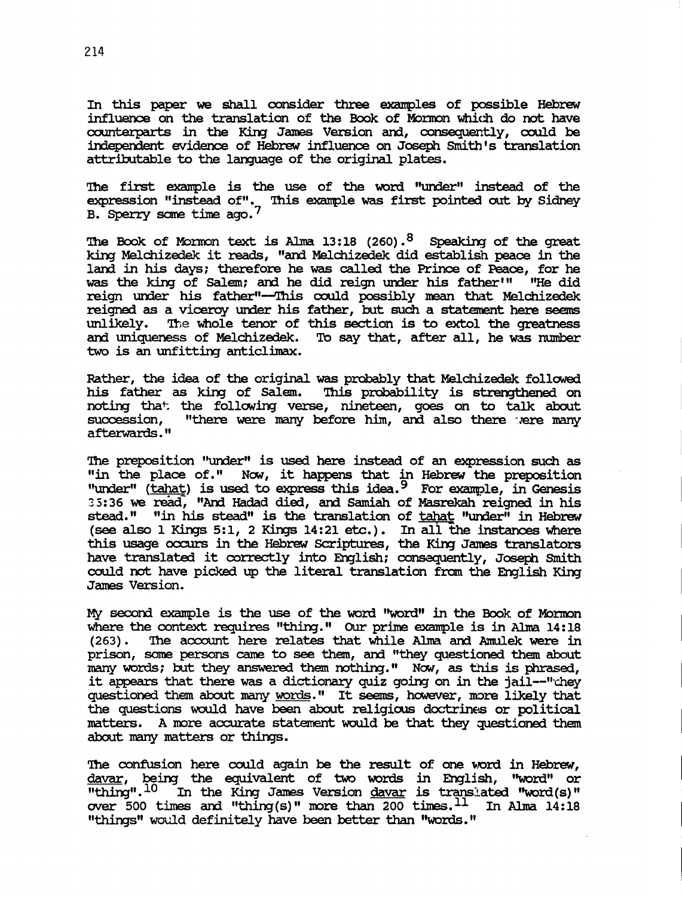In this paper we shall consider three exanples of possible Hebrew influence on the translation of the Book of Mormon which do not have counterparts in the King James Version and, consequently, could be independent evidence of Hebrew influence on Joseph Smith's translation attributable to the language of the original plates.

The first example is the use of the word "under" instead of the expression "instead of". This example was first pointed out by Sidney

B. Sperry some time ago.<sup>7</sup><br>The Book of Mormon text is Alma 13:18 (260).<sup>8</sup> Speaking of the great<br>king Melchizedek it reads. "and Melchizedek did establish peace in the The Book of Mormon text is Alma 13:18 (260).<sup>8</sup> Speaking of the great<br>king Melchizedek it reads, "and Melchizedek did establish peace in the land in his days; therefore he was called the Prince of Peace, for he was the king of Salem; and he did reign under his father'" "He did reign under his father"--This could possibly mean that Melchizedek reigned as a viceroy under his father, but such a statement here seems unlikely. The whole tenor of this section is to extol the greatness and uniqueness of Melchizedek. To say that, after all, he was number two is an unfitting anticlimax.

Rather, the idea of the original was probably that Melchizedek followed his father as king of Salem. This probability is strengthened on noting that the following verse, nineteen, goes on to talk about succession. "there were many before him, and also there vere many "there were many before him, and also there were many afterwards. "

The preposition "under" is used here instead of an expression such as "in the place of." Now, it happens that in Hebrew the preposition "under"  $(tahat)$  is used to express this idea.  $9$  For example, in Genesis 35:36 we read, "And Hadad died, and Samiah of Masrekah reigned in his stead." "in his stead" is the translation of tahat "under" in Hebrew (see also 1 Kings 5:1, 2 Kings  $14:21$  etc.). In all the instances where this usage occurs in the Hebrew Scriptures, the King James translators have translated it correctly into English; consequently, Joseph Smith could not have picked up the literal translation from the English King James version.

My second example is the use of the word "word" in the Book of Mormon where the context requires "thing." Our prime example is in Alma 14:18 (263). The account here relates that while Alma and Amulek were in The account here relates that while Alma and Amulek were in prison, same persons came to see them, ani "they questioned them about many words; but they answered them nothing." Now, as this is phrased, it appears that there was a dictionary quiz going on in the jail--"chey questioned them about many words." It seems, however, more likely that the questions would have been about religious doctrines or political matters. A more accurate statement would be that they questioned them about many matters or things.

The confusion here could again be the result of one word in Hebrew, davar, being the equivalent of two words in English, "word" or "thing".<sup>10</sup> In the King James Version davar is translated "word(s)" over 500 times and "thing(s)" more than 200 times.  $^{11}$  In Alma 14:18 "things" would definitely have been better than "words."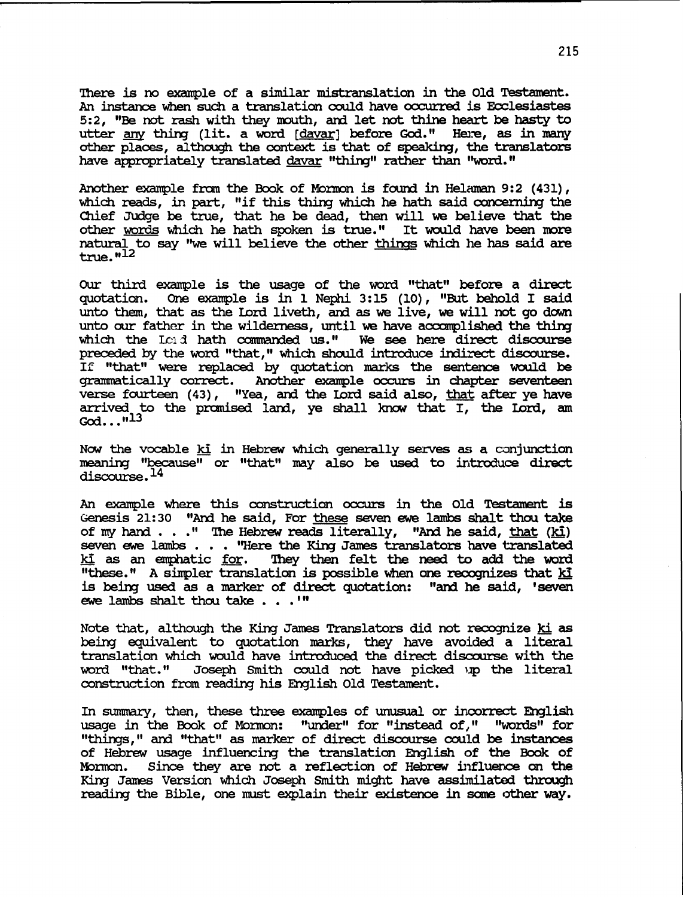There is no example of a similar mistranslation in the Old Testament. An instance when such a translation could have occurred is Ecclesiastes 5:2, "Be not rash with they mouth, and let not thine heart be hasty to utter any thing (lit. a word [davar] before God." Here, as in many other places, although the context is that of speaking, the translators have appropriately translated davar "thing" rather than "word."

Another example from the Book of Mormon is found in Helaman 9:2  $(431)$ . which reads, in part, "if this thing which he hath said concerning the Chief JUdge be true, that he be dead, then will we believe that the other words which he hath spoken is true." It would have been more natural to say "we will believe the other things which he has said are  $true.$  $"12"$ 

OUr third example is the usage of the word "that" before a direct quotation. One example is in 1 Nephi 3:15 (10), "But behold I said unto them, that as the Lord liveth, ard as we live, we will not go down unto our father in the wilderness, until we have accomplished the thing which the  $L \cap A$  hath commanded us." We see here direct discourse preceded by the word "that," which should introduce indirect discourse. If "that" were replaced by quotation marks the sentence would be grammatically correct. Another example occurs in chapter seventeen verse fourteen (43), "Yea, and the Lord said also, that after ye have arrived to the promised land, ye shall know that I, the Lord, am God... $n<sup>13</sup>$ 

NOW' the vocable ki in Hebrew which generally serves as a conjunction meaning "because" or "that" may also be used to introduce direct discourse.<sup>14</sup>

An example where this construction occurs in the Old Testament is Genesis 21: 30 "Ard he said, For these seven ewe lambs shalt thou take of my hand  $\ldots$  " The Hebrew reads literally, "And he said, that (ki) seven ewe lambs . . . "Here the King James translators have translated ki as an emphatic for. They then felt the need to add the word "these. " A simpler translation is possible when one recognizes that ki is beirg used as a marker of direct quotation: "ard he said, 'seven ewe lambs shalt thou take  $\ldots$  .'"

Note that, although the King James Translators did not recognize ki as beirg equivalent to quotation marks, they have avoided a literal translation which would have introduced the direct discourse with the word "that." Joseph Smith could not have picked up the literal construction fram readirg his English Old Testament.

In summary, then, these three examples of unusual or incorrect English usage in the Book of Mormon: "under" for "instead of," "words" for "thirgs," ard "that" as marker of direct discourse could be instances of Hebrew usage influencirg the translation English of the Book of Mormon. Since they are not a reflection of Hebrew influence on the King James Version which Joseph Smith might have assimilated through reading the Bible, one must explain their existence in some other way.